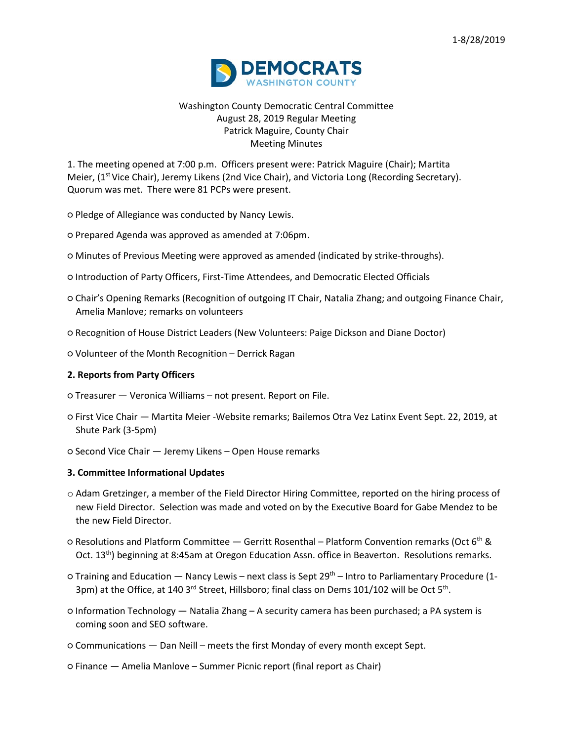

# Washington County Democratic Central Committee August 28, 2019 Regular Meeting Patrick Maguire, County Chair Meeting Minutes

1. The meeting opened at 7:00 p.m. Officers present were: Patrick Maguire (Chair); Martita Meier, (1<sup>st</sup> Vice Chair), Jeremy Likens (2nd Vice Chair), and Victoria Long (Recording Secretary). Quorum was met. There were 81 PCPs were present.

- Pledge of Allegiance was conducted by Nancy Lewis.
- Prepared Agenda was approved as amended at 7:06pm.
- Minutes of Previous Meeting were approved as amended (indicated by strike-throughs).
- Introduction of Party Officers, First-Time Attendees, and Democratic Elected Officials
- Chair's Opening Remarks (Recognition of outgoing IT Chair, Natalia Zhang; and outgoing Finance Chair, Amelia Manlove; remarks on volunteers
- Recognition of House District Leaders (New Volunteers: Paige Dickson and Diane Doctor)
- Volunteer of the Month Recognition Derrick Ragan

## **2. Reports from Party Officers**

- Treasurer Veronica Williams not present. Report on File.
- First Vice Chair Martita Meier -Website remarks; Bailemos Otra Vez Latinx Event Sept. 22, 2019, at Shute Park (3-5pm)
- Second Vice Chair Jeremy Likens Open House remarks

## **3. Committee Informational Updates**

- o Adam Gretzinger, a member of the Field Director Hiring Committee, reported on the hiring process of new Field Director. Selection was made and voted on by the Executive Board for Gabe Mendez to be the new Field Director.
- Resolutions and Platform Committee Gerritt Rosenthal Platform Convention remarks (Oct 6th & Oct. 13<sup>th</sup>) beginning at 8:45am at Oregon Education Assn. office in Beaverton. Resolutions remarks.
- o Training and Education Nancy Lewis next class is Sept 29<sup>th</sup> Intro to Parliamentary Procedure (1-3pm) at the Office, at 140 3<sup>rd</sup> Street, Hillsboro; final class on Dems 101/102 will be Oct 5<sup>th</sup>.
- Information Technology Natalia Zhang A security camera has been purchased; a PA system is coming soon and SEO software.
- Communications Dan Neill meets the first Monday of every month except Sept.
- Finance Amelia Manlove Summer Picnic report (final report as Chair)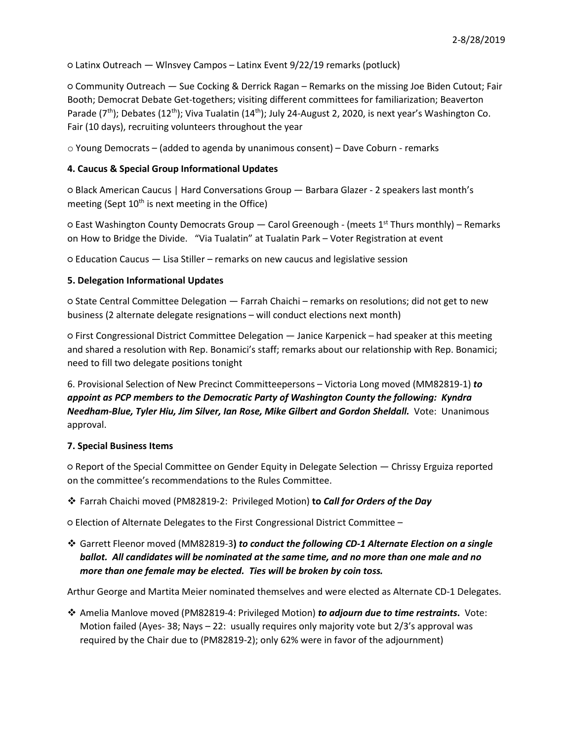○ Latinx Outreach — Wlnsvey Campos – Latinx Event 9/22/19 remarks (potluck)

○ Community Outreach — Sue Cocking & Derrick Ragan – Remarks on the missing Joe Biden Cutout; Fair Booth; Democrat Debate Get-togethers; visiting different committees for familiarization; Beaverton Parade ( $7<sup>th</sup>$ ); Debates (12<sup>th</sup>); Viva Tualatin (14<sup>th</sup>); July 24-August 2, 2020, is next year's Washington Co. Fair (10 days), recruiting volunteers throughout the year

 $\circ$  Young Democrats – (added to agenda by unanimous consent) – Dave Coburn - remarks

## **4. Caucus & Special Group Informational Updates**

○ Black American Caucus | Hard Conversations Group — Barbara Glazer - 2 speakers last month's meeting (Sept  $10<sup>th</sup>$  is next meeting in the Office)

 $\circ$  East Washington County Democrats Group — Carol Greenough - (meets 1st Thurs monthly) – Remarks on How to Bridge the Divide. "Via Tualatin" at Tualatin Park – Voter Registration at event

○ Education Caucus — Lisa Stiller – remarks on new caucus and legislative session

## **5. Delegation Informational Updates**

○ State Central Committee Delegation — Farrah Chaichi – remarks on resolutions; did not get to new business (2 alternate delegate resignations – will conduct elections next month)

○ First Congressional District Committee Delegation — Janice Karpenick – had speaker at this meeting and shared a resolution with Rep. Bonamici's staff; remarks about our relationship with Rep. Bonamici; need to fill two delegate positions tonight

6. Provisional Selection of New Precinct Committeepersons – Victoria Long moved (MM82819-1) *to appoint as PCP members to the Democratic Party of Washington County the following: Kyndra Needham-Blue, Tyler Hiu, Jim Silver, Ian Rose, Mike Gilbert and Gordon Sheldall.* Vote: Unanimous approval.

## **7. Special Business Items**

○ Report of the Special Committee on Gender Equity in Delegate Selection — Chrissy Erguiza reported on the committee's recommendations to the Rules Committee.

Farrah Chaichi moved (PM82819-2: Privileged Motion) **to** *Call for Orders of the Day*

○ Election of Alternate Delegates to the First Congressional District Committee –

 Garrett Fleenor moved (MM82819-3**)** *to conduct the following CD-1 Alternate Election on a single ballot. All candidates will be nominated at the same time, and no more than one male and no more than one female may be elected. Ties will be broken by coin toss.*

Arthur George and Martita Meier nominated themselves and were elected as Alternate CD-1 Delegates.

 Amelia Manlove moved (PM82819-4: Privileged Motion) *to adjourn due to time restraints***.** Vote: Motion failed (Ayes- 38; Nays  $-22$ : usually requires only majority vote but  $2/3$ 's approval was required by the Chair due to (PM82819-2); only 62% were in favor of the adjournment)